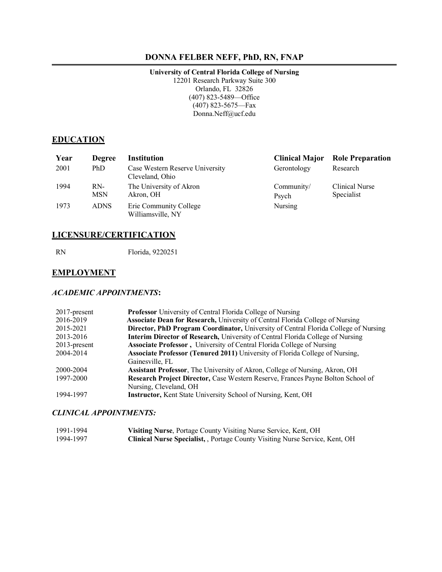### **DONNA FELBER NEFF, PhD, RN, FNAP**

#### **University of Central Florida College of Nursing**

12201 Research Parkway Suite 300 Orlando, FL 32826 (407) 823-5489—Office (407) 823-5675—Fax Donna.Neff@ucf.edu

### **EDUCATION**

| Year | <b>Degree</b> | Institution                                        | <b>Clinical Major</b> | <b>Role Preparation</b>      |
|------|---------------|----------------------------------------------------|-----------------------|------------------------------|
| 2001 | <b>PhD</b>    | Case Western Reserve University<br>Cleveland, Ohio | Gerontology           | Research                     |
| 1994 | RN-<br>MSN    | The University of Akron<br>Akron, OH               | Community/<br>Psych   | Clinical Nurse<br>Specialist |
| 1973 | <b>ADNS</b>   | Erie Community College<br>Williamsville, NY        | Nursing               |                              |

### **LICENSURE/CERTIFICATION**

RN Florida, 9220251

### **EMPLOYMENT**

### *ACADEMIC APPOINTMENTS***:**

| $2017$ -present | Professor University of Central Florida College of Nursing                             |
|-----------------|----------------------------------------------------------------------------------------|
| 2016-2019       | Associate Dean for Research, University of Central Florida College of Nursing          |
| 2015-2021       | Director, PhD Program Coordinator, University of Central Florida College of Nursing    |
| 2013-2016       | Interim Director of Research, University of Central Florida College of Nursing         |
| $2013$ -present | <b>Associate Professor, University of Central Florida College of Nursing</b>           |
| 2004-2014       | Associate Professor (Tenured 2011) University of Florida College of Nursing,           |
|                 | Gainesville, FL                                                                        |
| 2000-2004       | Assistant Professor, The University of Akron, College of Nursing, Akron, OH            |
| 1997-2000       | <b>Research Project Director, Case Western Reserve, Frances Payne Bolton School of</b> |
|                 | Nursing, Cleveland, OH                                                                 |
| 1994-1997       | Instructor, Kent State University School of Nursing, Kent, OH                          |

### *CLINICAL APPOINTMENTS:*

| 1991-1994 | Visiting Nurse, Portage County Visiting Nurse Service, Kent, OH                   |
|-----------|-----------------------------------------------------------------------------------|
| 1994-1997 | <b>Clinical Nurse Specialist, Portage County Visiting Nurse Service, Kent, OH</b> |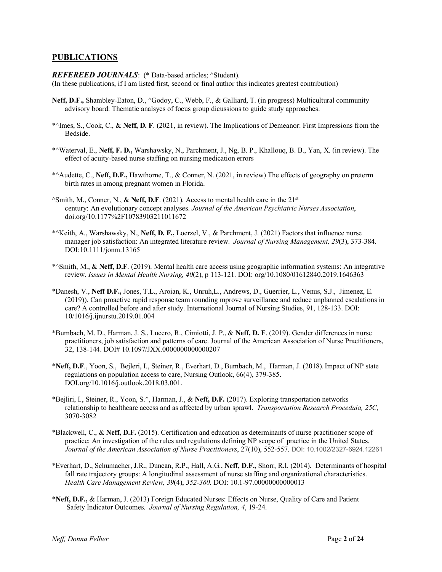### **PUBLICATIONS**

*REFEREED JOURNALS*: (\* Data-based articles; ^Student).

(In these publications, if I am listed first, second or final author this indicates greatest contribution)

- **Neff, D.F.,** Shambley-Eaton, D., ^Godoy, C., Webb, F., & Galliard, T. (in progress) Multicultural community advisory board: Thematic analsyes of focus group dicussions to guide study approaches.
- \*^Imes, S., Cook, C., & **Neff, D. F**. (2021, in review). The Implications of Demeanor: First Impressions from the Bedside.
- \*^Waterval, E., **Neff, F. D.,** Warshawsky, N., Parchment, J., Ng, B. P., Khallouq, B. B., Yan, X. (in review). The effect of acuity-based nurse staffing on nursing medication errors
- \*^Audette, C., **Neff, D.F.,** Hawthorne, T., & Conner, N. (2021, in review) The effects of geography on preterm birth rates in among pregnant women in Florida.
- $^{\wedge}$ Smith, M., Conner, N., & **Neff, D.F**. (2021). Access to mental health care in the 21<sup>st</sup> century: An evolutionary concept analyses. *Journal of the American Psychiatric Nurses Association*, doi.org/10.1177%2F10783903211011672
- \*^Keith, A., Warshawsky, N., **Neff, D. F.,** Loerzel, V., & Parchment, J. (2021) Factors that influence nurse manager job satisfaction: An integrated literature review. *Journal of Nursing Management, 29*(3), 373-384. DOI:10.1111/jonm.13165
- \*^Smith, M., & **Neff, D.F**. (2019). Mental health care access using geographic information systems: An integrative review. *Issues in Mental Health Nursing, 40*(2), p 113-121. DOI: org/10.1080/01612840.2019.1646363
- \*Danesh, V., **Neff D.F.,** Jones, T.L., Aroian, K., Unruh,L., Andrews, D., Guerrier, L., Venus, S.J., Jimenez, E. (2019)). Can proactive rapid response team rounding mprove surveillance and reduce unplanned escalations in care? A controlled before and after study. International Journal of Nursing Studies, 91, 128-133. DOI: 10/1016/j.ijnurstu.2019.01.004
- \*Bumbach, M. D., Harman, J. S., Lucero, R., Cimiotti, J. P., & **Neff, D. F**. (2019). Gender differences in nurse practitioners, job satisfaction and patterns of care. Journal of the American Association of Nurse Practitioners, 32, 138-144. DOI# 10.1097/JXX.0000000000000207
- \***Neff, D.F**., Yoon, S., Bejleri, I., Steiner, R., Everhart, D., Bumbach, M., Harman, J. (2018).Impact of NP state regulations on population access to care, Nursing Outlook, 66(4), 379-385. DOI.org/10.1016/j.outlook.2018.03.001.
- \*Bejliri, I., Steiner, R., Yoon, S.^, Harman, J., & **Neff, D.F.** (2017). Exploring transportation networks relationship to healthcare access and as affected by urban sprawl. *Transportation Research Proceduia, 25C,*  3070-3082
- \*Blackwell, C., & **Neff, D.F.** (2015). Certification and education as determinants of nurse practitioner scope of practice: An investigation of the rules and regulations defining NP scope of practice in the United States. *Journal of the American Association of Nurse Practitioners*, 27(10), 552-557. DOI: 10.1002/2327-6924.12261
- \*Everhart, D., Schumacher, J.R., Duncan, R.P., Hall, A.G., **Neff, D.F.,** Shorr, R.I. (2014). Determinants of hospital fall rate trajectory groups: A longitudinal assessment of nurse staffing and organizational characteristics. *Health Care Management Review, 39*(4), *352-360.* DOI: 10.1-97.00000000000013
- \***Neff, D.F.,** & Harman, J. (2013) Foreign Educated Nurses: Effects on Nurse, Quality of Care and Patient Safety Indicator Outcomes. *Journal of Nursing Regulation, 4*, 19-24.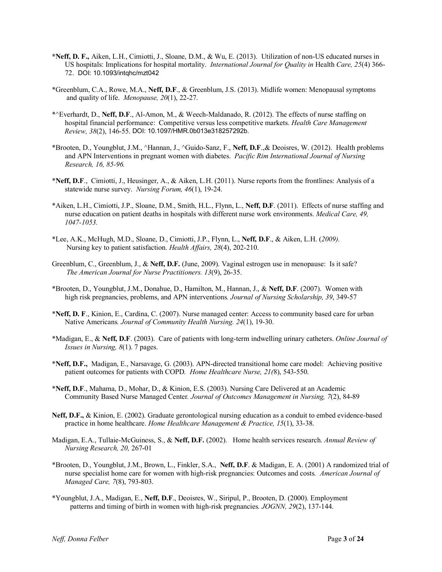- **\*Neff, D. F.,** Aiken, L.H., Cimiotti, J., Sloane, D.M., & Wu, E. (2013). Utilization of non-US educated nurses in US hospitals: Implications for hospital mortality. *International Journal for Quality in* Health *Care, 25*(4) 366- 72. DOI: 10.1093/intqhc/mzt042
- \*Greenblum, C.A., Rowe, M.A., **Neff, D.F**., & Greenblum, J.S. (2013). Midlife women: Menopausal symptoms and quality of life. *Menopause, 20*(1), 22-27.
- \*^Everhardt, D., **Neff, D.F**., Al-Amon, M., & Weech-Maldanado, R. (2012). The effects of nurse staffing on hospital financial performance: Competitive versus less competitive markets. *Health Care Management Review, 38*(2), 146-55. DOI: 10.1097/HMR.0b013e318257292b.
- \*Brooten, D., Youngblut, J.M., ^Hannan, J., ^Guido-Sanz, F., **Neff, D.F**.,& Deoisres, W. (2012). Health problems and APN Interventions in pregnant women with diabetes. *Pacific Rim International Journal of Nursing Research, 16, 85-96.*
- \***Neff, D.F**., Cimiotti, J., Heusinger, A., & Aiken, L.H. (2011). Nurse reports from the frontlines: Analysis of a statewide nurse survey. *Nursing Forum, 46*(1), 19-24.
- \*Aiken, L.H., Cimiotti, J.P., Sloane, D.M., Smith, H.L., Flynn, L., **Neff, D.F**. (2011). Effects of nurse staffing and nurse education on patient deaths in hospitals with different nurse work environments. *Medical Care, 49, 1047-1053.*
- \*Lee, A.K., McHugh, M.D., Sloane, D., Cimiotti, J.P., Flynn, L., **Neff, D.F**., & Aiken, L.H. (*2009).* Nursing key to patient satisfaction. *Health Affairs, 28*(4), 202-210.
- Greenblum, C., Greenblum, J., & **Neff, D.F.** (June, 2009). Vaginal estrogen use in menopause: Is it safe?  *The American Journal for Nurse Practitioners. 13*(9), 26-35.
- \*Brooten, D., Youngblut, J.M., Donahue, D., Hamilton, M., Hannan, J., & **Neff, D.F**. (2007). Women with high risk pregnancies, problems, and APN interventions*. Journal of Nursing Scholarship, 39*, 349-57
- \***Neff, D. F**., Kinion, E., Cardina, C. (2007). Nurse managed center: Access to community based care for urban Native Americans*. Journal of Community Health Nursing. 24*(1), 19-30.
- \*Madigan, E., & **Neff, D.F**. (2003). Care of patients with long-term indwelling urinary catheters. *Online Journal of Issues in Nursing, 8*(1). 7 pages.
- \***Neff, D.F.,** Madigan, E., Narsavage, G. (2003). APN-directed transitional home care model: Achieving positive patient outcomes for patients with COPD*. Home Healthcare Nurse, 21(*8), 543-550.
- \***Neff, D.F**., Mahama, D., Mohar, D., & Kinion, E.S. (2003). Nursing Care Delivered at an Academic Community Based Nurse Managed Center*. Journal of Outcomes Management in Nursing, 7*(2), 84-89
- **Neff, D.F.,** & Kinion, E. (2002). Graduate gerontological nursing education as a conduit to embed evidence-based practice in home healthcare. *Home Healthcare Management & Practice, 15*(1), 33-38.
- Madigan, E.A., Tullaie-McGuiness, S., & **Neff, D.F.** (2002). Home health services research. *Annual Review of Nursing Research, 20,* 267-01
- \*Brooten, D., Youngblut, J.M., Brown, L., Finkler, S.A., **Neff, D.F**. & Madigan, E. A. (2001) A randomized trial of nurse specialist home care for women with high-risk pregnancies: Outcomes and costs*. American Journal of Managed Care, 7*(8), 793-803.
- \*Youngblut, J.A., Madigan, E., **Neff, D.F**., Deoisres, W., Siripul, P., Brooten, D. (2000). Employment patterns and timing of birth in women with high-risk pregnancies*. JOGNN, 29*(2), 137-144.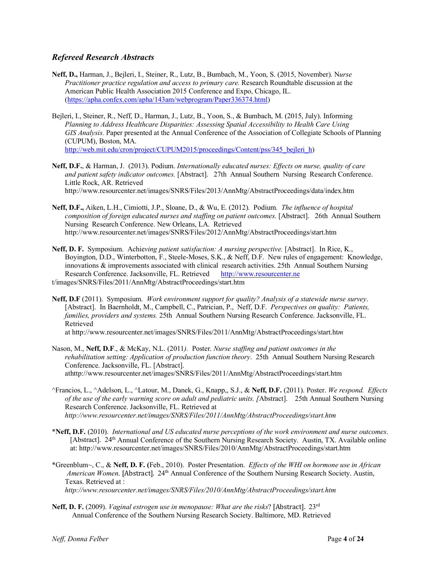### *Refereed Research Abstracts*

- **Neff, D.,** Harman, J., Bejleri, I., Steiner, R., Lutz, B., Bumbach, M., Yoon, S. (2015, November). N*urse Practitioner practice regulation and access to primary care.* Research Roundtable discussion at the American Public Health Association 2015 Conference and Expo, Chicago, IL. [\(https://apha.confex.com/apha/143am/webprogram/Paper336374.html\)](https://apha.confex.com/apha/143am/webprogram/Paper336374.html)
- Bejleri, I., Steiner, R., Neff, D., Harman, J., Lutz, B., Yoon, S., & Bumbach, M. (2015, July). Informing *Planning to Address Healthcare Disparities: Assessing Spatial Accessibility to Health Care Using GIS Analysis.* Paper presented at the Annual Conference of the Association of Collegiate Schools of Planning (CUPUM), Boston, MA. [http://web.mit.edu/cron/project/CUPUM2015/proceedings/Content/pss/345\\_bejleri\\_h\)](http://web.mit.edu/cron/project/CUPUM2015/proceedings/Content/pss/345_bejleri_h)
- **Neff, D.F.**, & Harman, J. (2013). Podium. *Internationally educated nurses: Effects on nurse, quality of care and patient safety indicator outcomes.* [Abstract]. 27th Annual Southern Nursing Research Conference. Little Rock, AR. Retrieved

http://www.resourcenter.net/images/SNRS/Files/2013/AnnMtg/AbstractProceedings/data/index.htm

- **Neff, D.F.,** Aiken, L.H., Cimiotti, J.P., Sloane, D., & Wu, E. (2012). Podium. *The influence of hospital composition of foreign educated nurses and staffing on patient outcomes.* [Abstract]. 26th Annual Southern Nursing Research Conference. New Orleans, LA. Retrieved http://www.resourcenter.net/images/SNRS/Files/2012/AnnMtg/AbstractProceedings/start.htm
- **Neff, D. F.** Symposium. Achie*ving patient satisfaction: A nursing perspective.* [Abstract]. In Rice, K., Boyington, D.D., Winterbotton, F., Steele-Moses, S.K., & Neff, D.F. New rules of engagement: Knowledge, innovations & improvements associated with clinical research activities. 25th Annual Southern Nursing Research Conference. Jacksonville, FL. Retrieved [http://www.resourcenter.ne](http://www.resourcenter.ne/) t/images/SNRS/Files/2011/AnnMtg/AbstractProceedings/start.htm
- **Neff, D.F** (2011). Symposium. *Work environment support for quality? Analysis of a statewide nurse survey*. [Abstract]. In Baernholdt, M., Campbell, C., Patrician, P., Neff, D.F. *Perspectives on quality: Patients, families, providers and systems.* 25th Annual Southern Nursing Research Conference. Jacksonville, FL. Retrieved

at http://www.resourcenter.net/images/SNRS/Files/2011/AnnMtg/AbstractProceedings/start.ht*m*

- Nason, M., **Neff, D.F**., & McKay, N.L. (2011*).* Poster. *Nurse staffing and patient outcomes in the rehabilitation setting: Application of production function theory*. 25th Annual Southern Nursing Research Conference. Jacksonville, FL. [Abstract]. athttp://www.resourcenter.net/images/SNRS/Files/2011/AnnMtg/AbstractProceedings/start.htm
- ^Francios, L., ^Adelson, L., ^Latour, M., Danek, G., Knapp,, S.J., & **Neff, D.F.** (2011). Poster. *We respond. Effects of the use of the early warning score on adult and pediatric units. [*Abstract]. 25th Annual Southern Nursing Research Conference. Jacksonville, FL. Retrieved at *http://www.resourcenter.net/images/SNRS/Files/2011/AnnMtg/AbstractProceedings/start.htm*
- \***Neff, D.F.** (2010). *International and US educated nurse perceptions of the work environment and nurse outcomes*. [Abstract]. 24th Annual Conference of the Southern Nursing Research Society. Austin, TX. Available online at: http://www.resourcenter.net/images/SNRS/Files/2010/AnnMtg/AbstractProceedings/start.htm
- \*Greenblum~, C., & **Neff, D. F. (**Feb., 2010). Poster Presentation. *Effects of the WHI on hormone use in African American Women*. [Abstract]. 24<sup>th</sup> Annual Conference of the Southern Nursing Research Society. Austin, Texas. Retrieved at :

*http://www.resourcenter.net/images/SNRS/Files/2010/AnnMtg/AbstractProceedings/start.htm*

**Neff, D. F.** (2009). *Vaginal estrogen use in menopause: What are the risks*? [Abstract].23rd Annual Conference of the Southern Nursing Research Society. Baltimore, MD. Retrieved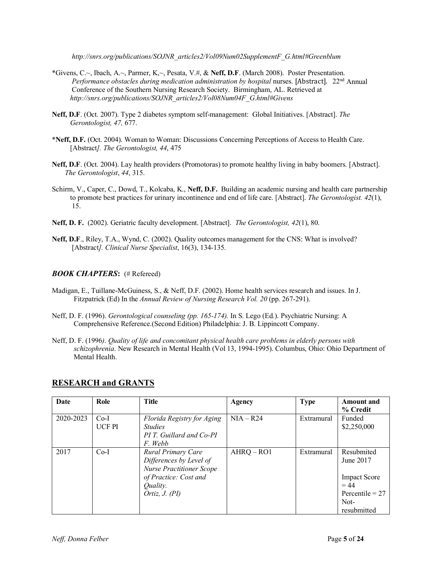*[http://snrs.org/publications/SOJNR\\_articles2/Vol09Num02SupplementF\\_G.html#Greenblum](http://snrs.org/publications/SOJNR_articles2/Vol09Num02SupplementF_G.html#Greenblum)*

- \*Givens, C.~, Ibach, A.~, Parmer, K,~, Pesata, V.#, & **Neff, D.F**. (March 2008). Poster Presentation. *Performance obstacles during medication administration by hospital nurses.* [Abstract]. 22<sup>nd</sup> Annual Conference of the Southern Nursing Research Society. Birmingham, AL. Retrieved at *[http://snrs.org/publications/SOJNR\\_articles2/Vol08Num04F\\_G.html#Givens](http://snrs.org/publications/SOJNR_articles2/Vol08Num04F_G.html#Givens)*
- **Neff, D.F**. (Oct. 2007). Type 2 diabetes symptom self-management: Global Initiatives. [Abstract]. *The Gerontologist, 47,* 677.
- \***Neff, D.F.** (Oct. 2004). Woman to Woman: Discussions Concerning Perceptions of Access to Health Care. [Abstract*]. The Gerontologist, 44*, 475
- **Neff, D.F**. (Oct. 2004). Lay health providers (Promotoras) to promote healthy living in baby boomers. [Abstract]. *The Gerontologist*, *44*, 315.
- Schirm, V., Caper, C., Dowd, T., Kolcaba, K., **Neff, D.F.** Building an academic nursing and health care partnership to promote best practices for urinary incontinence and end of life care. [Abstract]. *The Gerontologist. 42*(1), 15.
- **Neff, D. F.** (2002). Geriatric faculty development. [Abstract]. *The Gerontologist, 42*(1), 80.
- **Neff, D.F**., Riley, T.A., Wynd, C. (2002). Quality outcomes management for the CNS: What is involved? [Abstract*]. Clinical Nurse Specialist*, 16(3), 134-135.

#### *BOOK CHAPTERS***:** (# Refereed)

- Madigan, E., Tuillane-McGuiness, S., & Neff, D.F. (2002). Home health services research and issues. In J. Fitzpatrick (Ed) In the *Annual Review of Nursing Research Vol. 20* (pp. 267-291).
- Neff, D. F. (1996). *Gerontological counseling (pp. 165-174).* In S. Lego (Ed.). Psychiatric Nursing: A Comprehensive Reference.(Second Edition) Philadelphia: J. B. Lippincott Company.
- Neff, D. F. (1996*). Quality of life and concomitant physical health care problems in elderly persons with schizophrenia*. New Research in Mental Health (Vol 13, 1994-1995). Columbus, Ohio: Ohio Department of Mental Health.

### **RESEARCH and GRANTS**

| Date      | Role                    | <b>Title</b>                                                                                                                              | <b>Agency</b> | <b>Type</b> | <b>Amount</b> and<br>% Credit                                                                        |
|-----------|-------------------------|-------------------------------------------------------------------------------------------------------------------------------------------|---------------|-------------|------------------------------------------------------------------------------------------------------|
| 2020-2023 | $Co-I$<br><b>UCF PI</b> | Florida Registry for Aging<br><i>Studies</i><br>PI T. Guillard and Co-PI<br>F. Webb                                                       | $NIA - R24$   | Extramural  | Funded<br>\$2,250,000                                                                                |
| 2017      | $Co-I$                  | Rural Primary Care<br>Differences by Level of<br><b>Nurse Practitioner Scope</b><br>of Practice: Cost and<br>Quality.<br>Ortiz, $J.$ (PI) | $AHRQ - RO1$  | Extramural  | Resubmited<br>June 2017<br><b>Impact Score</b><br>$= 44$<br>Percentile $= 27$<br>Not-<br>resubmitted |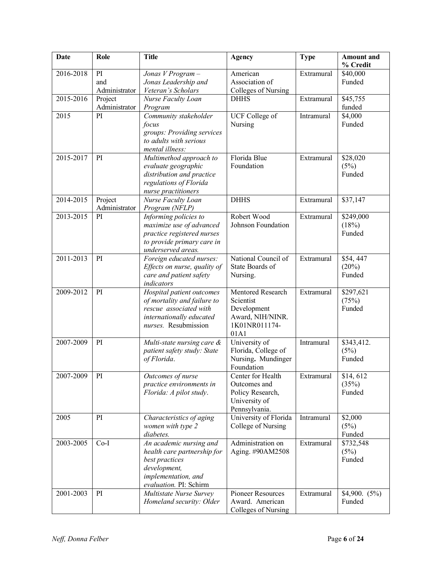| <b>Date</b> | Role                       | <b>Title</b>                                                                                                                              | Agency                                                                                     | <b>Type</b> | <b>Amount and</b><br>% Credit |
|-------------|----------------------------|-------------------------------------------------------------------------------------------------------------------------------------------|--------------------------------------------------------------------------------------------|-------------|-------------------------------|
| 2016-2018   | PI<br>and<br>Administrator | Jonas $V$ Program $-$<br>Jonas Leadership and<br>Veteran's Scholars                                                                       | American<br>Association of<br>Colleges of Nursing                                          | Extramural  | \$40,000<br>Funded            |
| 2015-2016   | Project<br>Administrator   | Nurse Faculty Loan<br>Program                                                                                                             | <b>DHHS</b>                                                                                | Extramural  | \$45,755<br>funded            |
| 2015        | PI                         | Community stakeholder<br>focus<br>groups: Providing services<br>to adults with serious<br>mental illness:                                 | UCF College of<br>Nursing                                                                  | Intramural  | \$4,000<br>Funded             |
| 2015-2017   | PI                         | Multimethod approach to<br>evaluate geographic<br>distribution and practice<br>regulations of Florida<br>nurse practitioners              | Florida Blue<br>Foundation                                                                 | Extramural  | \$28,020<br>(5%)<br>Funded    |
| 2014-2015   | Project<br>Administrator   | Nurse Faculty Loan<br>Program (NFLP)                                                                                                      | <b>DHHS</b>                                                                                | Extramural  | \$37,147                      |
| 2013-2015   | PI                         | Informing policies to<br>maximize use of advanced<br>practice registered nurses<br>to provide primary care in<br>underserved areas.       | Robert Wood<br>Johnson Foundation                                                          | Extramural  | \$249,000<br>(18%)<br>Funded  |
| 2011-2013   | PI                         | Foreign educated nurses:<br>Effects on nurse, quality of<br>care and patient safety<br>indicators                                         | National Council of<br>State Boards of<br>Nursing.                                         | Extramural  | \$54,447<br>(20%)<br>Funded   |
| 2009-2012   | PI                         | Hospital patient outcomes<br>of mortality and failure to<br>rescue associated with<br>internationally educated<br>nurses. Resubmission    | Mentored Research<br>Scientist<br>Development<br>Award, NIH/NINR.<br>1K01NR011174-<br>01A1 | Extramural  | \$297,621<br>(75%)<br>Funded  |
| 2007-2009   | PI                         | Multi-state nursing care &<br>patient safety study: State<br>of Florida.                                                                  | University of<br>Florida, College of<br>Nursing. Mundinger<br>Foundation                   | Intramural  | \$343,412.<br>(5%)<br>Funded  |
| 2007-2009   | PI                         | Outcomes of nurse<br>practice environments in<br>Florida: A pilot study.                                                                  | Center for Health<br>Outcomes and<br>Policy Research,<br>University of<br>Pennsylvania.    | Extramural  | \$14,612<br>(35%)<br>Funded   |
| 2005        | PI                         | Characteristics of aging<br>women with type 2<br>diabetes.                                                                                | University of Florida<br>College of Nursing                                                | Intramural  | \$2,000<br>(5%)<br>Funded     |
| 2003-2005   | $Co-I$                     | An academic nursing and<br>health care partnership for<br>best practices<br>development,<br>implementation, and<br>evaluation. PI: Schirm | Administration on<br>Aging. #90AM2508                                                      | Extramural  | \$732,548<br>(5%)<br>Funded   |
| 2001-2003   | PI                         | Multistate Nurse Survey<br>Homeland security: Older                                                                                       | Pioneer Resources<br>Award. American<br>Colleges of Nursing                                | Extramural  | \$4,900. $(5\%)$<br>Funded    |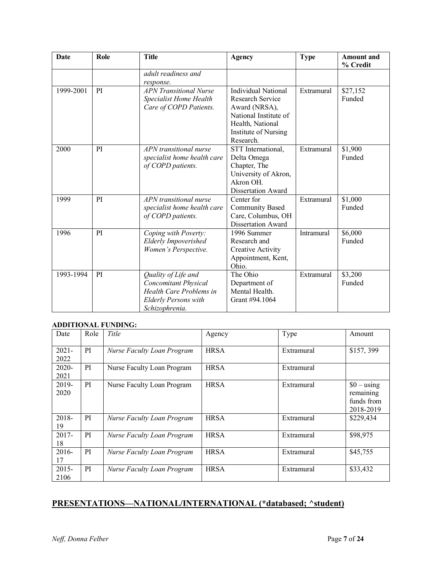| <b>Date</b> | Role | <b>Title</b>                                                                                                                   | <b>Agency</b>                                                                                                                                            | <b>Type</b>       | <b>Amount</b> and<br>% Credit |
|-------------|------|--------------------------------------------------------------------------------------------------------------------------------|----------------------------------------------------------------------------------------------------------------------------------------------------------|-------------------|-------------------------------|
|             |      | adult readiness and<br>response.                                                                                               |                                                                                                                                                          |                   |                               |
| 1999-2001   | PI   | <b>APN</b> Transitional Nurse<br><b>Specialist Home Health</b><br>Care of COPD Patients.                                       | <b>Individual National</b><br><b>Research Service</b><br>Award (NRSA),<br>National Institute of<br>Health, National<br>Institute of Nursing<br>Research. | Extramural        | \$27,152<br>Funded            |
| 2000        | PI   | APN transitional nurse<br>specialist home health care<br>of COPD patients.                                                     | STT International,<br>Delta Omega<br>Chapter, The<br>University of Akron,<br>Akron OH.<br><b>Dissertation Award</b>                                      | Extramural        | \$1,900<br>Funded             |
| 1999        | PI   | APN transitional nurse<br>specialist home health care<br>of COPD patients.                                                     | Center for<br><b>Community Based</b><br>Care, Columbus, OH<br><b>Dissertation Award</b>                                                                  | Extramural        | \$1,000<br>Funded             |
| 1996        | PI   | Coping with Poverty:<br>Elderly Impoverished<br>Women's Perspective.                                                           | 1996 Summer<br>Research and<br>Creative Activity<br>Appointment, Kent,<br>Ohio.                                                                          | <b>Intramural</b> | \$6,000<br>Funded             |
| 1993-1994   | PI   | Quality of Life and<br><b>Concomitant Physical</b><br>Health Care Problems in<br><b>Elderly Persons with</b><br>Schizophrenia. | The Ohio<br>Department of<br>Mental Health.<br>Grant #94.1064                                                                                            | Extramural        | \$3,200<br>Funded             |

### **ADDITIONAL FUNDING:**

| Date             | Role | Title                      | Agency      | Type       | Amount                                               |
|------------------|------|----------------------------|-------------|------------|------------------------------------------------------|
| $2021 -$<br>2022 | PI   | Nurse Faculty Loan Program | <b>HRSA</b> | Extramural | \$157,399                                            |
| 2020-<br>2021    | PI   | Nurse Faculty Loan Program | <b>HRSA</b> | Extramural |                                                      |
| 2019-<br>2020    | PI   | Nurse Faculty Loan Program | <b>HRSA</b> | Extramural | $$0 - using$<br>remaining<br>funds from<br>2018-2019 |
| 2018-<br>19      | PI   | Nurse Faculty Loan Program | <b>HRSA</b> | Extramural | \$229,434                                            |
| 2017-<br>18      | PI   | Nurse Faculty Loan Program | <b>HRSA</b> | Extramural | \$98,975                                             |
| $2016 -$<br>17   | PI   | Nurse Faculty Loan Program | <b>HRSA</b> | Extramural | \$45,755                                             |
| $2015 -$<br>2106 | PI   | Nurse Faculty Loan Program | <b>HRSA</b> | Extramural | \$33,432                                             |

## **PRESENTATIONS—NATIONAL/INTERNATIONAL (\*databased; ^student)**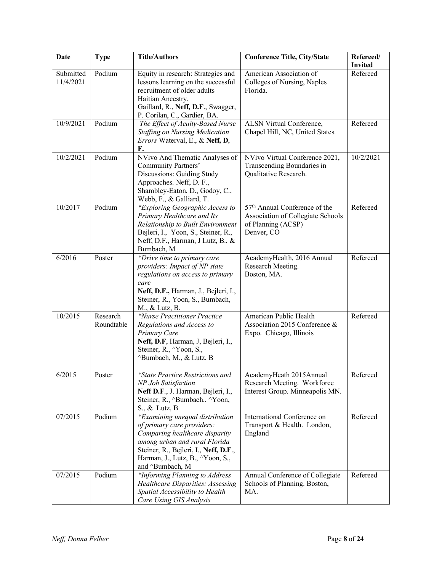| <b>Date</b>            | <b>Type</b>            | <b>Title/Authors</b>                                                                                                                                                                                                                         | <b>Conference Title, City/State</b>                                                                                | Refereed/<br><b>Invited</b> |
|------------------------|------------------------|----------------------------------------------------------------------------------------------------------------------------------------------------------------------------------------------------------------------------------------------|--------------------------------------------------------------------------------------------------------------------|-----------------------------|
| Submitted<br>11/4/2021 | Podium                 | Equity in research: Strategies and<br>lessons learning on the successful<br>recruitment of older adults<br>Haitian Ancestry.<br>Gaillard, R., Neff, D.F., Swagger,<br>P. Corilan, C., Gardier, BA.                                           | American Association of<br>Colleges of Nursing, Naples<br>Florida.                                                 | Refereed                    |
| 10/9/2021              | Podium                 | The Effect of Acuity-Based Nurse<br><b>Staffing on Nursing Medication</b><br>Errors Waterval, E., & Neff, D,<br>F.                                                                                                                           | ALSN Virtual Conference,<br>Chapel Hill, NC, United States.                                                        | Refereed                    |
| 10/2/2021              | Podium                 | NVivo And Thematic Analyses of<br>Community Partners'<br>Discussions: Guiding Study<br>Approaches. Neff, D. F.,<br>Shambley-Eaton, D., Godoy, C.,<br>Webb, F., & Galliard, T.                                                                | NVivo Virtual Conference 2021,<br>Transcending Boundaries in<br>Qualitative Research.                              | 10/2/2021                   |
| 10/2017                | Podium                 | *Exploring Geographic Access to<br>Primary Healthcare and Its<br>Relationship to Built Environment<br>Bejleri, I., Yoon, S., Steiner, R.,<br>Neff, D.F., Harman, J Lutz, B., &<br>Bumbach, M                                                 | 57 <sup>th</sup> Annual Conference of the<br>Association of Collegiate Schools<br>of Planning (ACSP)<br>Denver, CO | Refereed                    |
| 6/2016                 | Poster                 | *Drive time to primary care<br>providers: Impact of NP state<br>regulations on access to primary<br>care<br>Neff, D.F., Harman, J., Bejleri, I.,<br>Steiner, R., Yoon, S., Bumbach,<br>M., & Lutz, B.                                        | AcademyHealth, 2016 Annual<br>Research Meeting.<br>Boston, MA.                                                     | Refereed                    |
| 10/2015                | Research<br>Roundtable | *Nurse Practitioner Practice<br>Regulations and Access to<br>Primary Care<br>Neff, D.F, Harman, J, Bejleri, I.,<br>Steiner, R., <sup>^</sup> Yoon, S.,<br>^Bumbach, M., & Lutz, B                                                            | American Public Health<br>Association 2015 Conference &<br>Expo. Chicago, Illinois                                 | Refereed                    |
| 6/2015                 | Poster                 | *State Practice Restrictions and<br>NP Job Satisfaction<br>Neff D.F., J. Harman, Bejleri, I.,<br>Steiner, R., ^Bumbach., ^Yoon,<br>S., & Lutz, B                                                                                             | AcademyHeath 2015Annual<br>Research Meeting. Workforce<br>Interest Group. Minneapolis MN.                          | Refereed                    |
| 07/2015                | Podium                 | *Examining unequal distribution<br>of primary care providers:<br>Comparing healthcare disparity<br>among urban and rural Florida<br>Steiner, R., Bejleri, I., Neff, D.F.,<br>Harman, J., Lutz, B., <sup>^</sup> Yoon, S.,<br>and ^Bumbach, M | International Conference on<br>Transport & Health. London,<br>England                                              | Refereed                    |
| 07/2015                | Podium                 | *Informing Planning to Address<br>Healthcare Disparities: Assessing<br>Spatial Accessibility to Health<br>Care Using GIS Analysis                                                                                                            | Annual Conference of Collegiate<br>Schools of Planning. Boston,<br>MA.                                             | Refereed                    |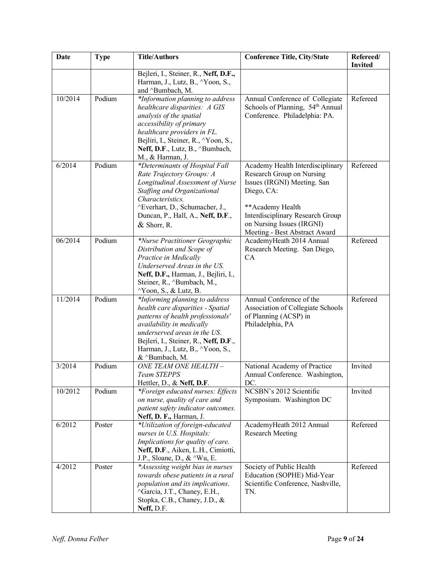| <b>Date</b> | <b>Type</b> | <b>Title/Authors</b>                                                                                                                                                                                                                                                             | <b>Conference Title, City/State</b>                                                                                                                                                                                               | Refereed/<br><b>Invited</b> |
|-------------|-------------|----------------------------------------------------------------------------------------------------------------------------------------------------------------------------------------------------------------------------------------------------------------------------------|-----------------------------------------------------------------------------------------------------------------------------------------------------------------------------------------------------------------------------------|-----------------------------|
|             |             | Bejleri, I., Steiner, R., Neff, D.F.,<br>Harman, J., Lutz, B., <sup>^</sup> Yoon, S.,<br>and ^Bumbach, M.                                                                                                                                                                        |                                                                                                                                                                                                                                   |                             |
| 10/2014     | Podium      | *Information planning to address<br>healthcare disparities: A GIS<br>analysis of the spatial<br>accessibility of primary<br>healthcare providers in FL.<br>Bejliri, I., Steiner, R., <sup>^</sup> Yoon, S.,<br>Neff, D.F., Lutz, B., ^Bumbach,<br>M., & Harman, J.               | Annual Conference of Collegiate<br>Schools of Planning, 54th Annual<br>Conference. Philadelphia: PA.                                                                                                                              | Refereed                    |
| 6/2014      | Podium      | *Determinants of Hospital Fall<br>Rate Trajectory Groups: A<br>Longitudinal Assessment of Nurse<br>Staffing and Organizational<br>Characteristics.<br>^Everhart, D., Schumacher, J.,<br>Duncan, P., Hall, A., Neff, D.F.,<br>& Shorr, R.                                         | Academy Health Interdisciplinary<br>Research Group on Nursing<br>Issues (IRGNI) Meeting. San<br>Diego, CA:<br>** Academy Health<br>Interdisciplinary Research Group<br>on Nursing Issues (IRGNI)<br>Meeting - Best Abstract Award | Refereed                    |
| 06/2014     | Podium      | *Nurse Practitioner Geographic<br>Distribution and Scope of<br>Practice in Medically<br>Underserved Areas in the US.<br>Neff, D.F., Harman, J., Bejliri, I.,<br>Steiner, R., ^Bumbach, M.,<br><sup>^</sup> Yoon, S., & Lutz, B.                                                  | AcademyHeath 2014 Annual<br>Research Meeting. San Diego,<br><b>CA</b>                                                                                                                                                             | Refereed                    |
| 11/2014     | Podium      | *Informing planning to address<br>health care disparities - Spatial<br>patterns of health professionals'<br>availability in medically<br>underserved areas in the US.<br>Bejleri, I., Steiner, R., Neff, D.F.,<br>Harman, J., Lutz, B., <sup>^</sup> Yoon, S.,<br>& ^Bumbach, M. | Annual Conference of the<br>Association of Collegiate Schools<br>of Planning (ACSP) in<br>Philadelphia, PA                                                                                                                        | Refereed                    |
| 3/2014      | Podium      | ONE TEAM ONE HEALTH-<br>Team STEPPS<br>Hettler, D., & Neff, D.F.                                                                                                                                                                                                                 | National Academy of Practice<br>Annual Conference. Washington,<br>DC.                                                                                                                                                             | Invited                     |
| 10/2012     | Podium      | *Foreign educated nurses: Effects<br>on nurse, quality of care and<br>patient safety indicator outcomes.<br>Neff, D. F., Harman, J.                                                                                                                                              | NCSBN's 2012 Scientific<br>Symposium. Washington DC                                                                                                                                                                               | Invited                     |
| 6/2012      | Poster      | *Utilization of foreign-educated<br>nurses in U.S. Hospitals:<br>Implications for quality of care.<br>Neff, D.F., Aiken, L.H., Cimiotti,<br>J.P., Sloane, D., & ^Wu, E.                                                                                                          | AcademyHeath 2012 Annual<br><b>Research Meeting</b>                                                                                                                                                                               | Refereed                    |
| 4/2012      | Poster      | *Assessing weight bias in nurses<br>towards obese patients in a rural<br>population and its implications.<br>^Garcia, J.T., Chaney, E.H.,<br>Stopka, C.B., Chaney, J.D., &<br>Neff, D.F.                                                                                         | Society of Public Health<br>Education (SOPHE) Mid-Year<br>Scientific Conference, Nashville,<br>TN.                                                                                                                                | Refereed                    |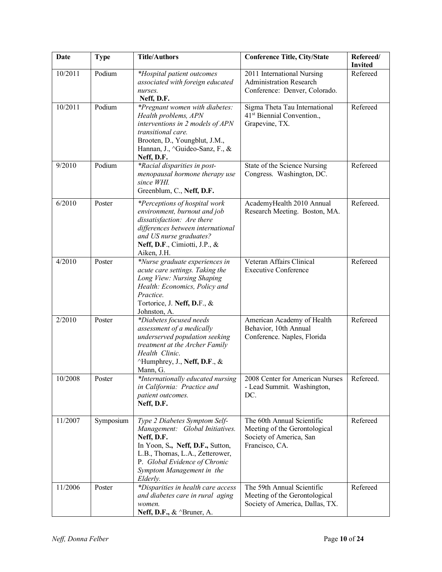| <b>Date</b> | <b>Type</b> | <b>Title/Authors</b>                                                                                                                                                                                                            | <b>Conference Title, City/State</b>                                                                      | Refereed/<br><b>Invited</b> |
|-------------|-------------|---------------------------------------------------------------------------------------------------------------------------------------------------------------------------------------------------------------------------------|----------------------------------------------------------------------------------------------------------|-----------------------------|
| 10/2011     | Podium      | *Hospital patient outcomes<br>associated with foreign educated<br>nurses.<br>Neff, D.F.                                                                                                                                         | 2011 International Nursing<br><b>Administration Research</b><br>Conference: Denver, Colorado.            | Refereed                    |
| 10/2011     | Podium      | *Pregnant women with diabetes:<br>Health problems, APN<br>interventions in 2 models of APN<br>transitional care.<br>Brooten, D., Youngblut, J.M.,<br>Hannan, J., ^Guideo-Sanz, F., &<br>Neff, D.F.                              | Sigma Theta Tau International<br>41 <sup>st</sup> Biennial Convention.,<br>Grapevine, TX.                | Refereed                    |
| 9/2010      | Podium      | *Racial disparities in post-<br>menopausal hormone therapy use<br>since WHI.<br>Greenblum, C., Neff, D.F.                                                                                                                       | State of the Science Nursing<br>Congress. Washington, DC.                                                | Refereed                    |
| 6/2010      | Poster      | <i>*Perceptions of hospital work</i><br>environment, burnout and job<br>dissatisfaction: Are there<br>differences between international<br>and US nurse graduates?<br>Neff, D.F., Cimiotti, J.P., &<br>Aiken, J.H.              | AcademyHealth 2010 Annual<br>Research Meeting. Boston, MA.                                               | Refereed.                   |
| 4/2010      | Poster      | *Nurse graduate experiences in<br>acute care settings. Taking the<br>Long View: Nursing Shaping<br>Health: Economics, Policy and<br>Practice.<br>Tortorice, J. Neff, D.F., &<br>Johnston, A.                                    | Veteran Affairs Clinical<br><b>Executive Conference</b>                                                  | Refereed                    |
| 2/2010      | Poster      | *Diabetes focused needs<br>assessment of a medically<br>underserved population seeking<br>treatment at the Archer Family<br>Health Clinic.<br><sup>^</sup> Humphrey, J., <b>Neff, D.F</b> ., &<br>Mann, G.                      | American Academy of Health<br>Behavior, 10th Annual<br>Conference. Naples, Florida                       | Refereed                    |
| 10/2008     | Poster      | *Internationally educated nursing<br>in California: Practice and<br>patient outcomes.<br>Neff, D.F.                                                                                                                             | 2008 Center for American Nurses<br>- Lead Summit. Washington,<br>DC.                                     | Refereed.                   |
| 11/2007     | Symposium   | Type 2 Diabetes Symptom Self-<br>Management: Global Initiatives.<br>Neff, D.F.<br>In Yoon, S., Neff, D.F., Sutton,<br>L.B., Thomas, L.A., Zetterower,<br>P. Global Evidence of Chronic<br>Symptom Management in the<br>Elderly. | The 60th Annual Scientific<br>Meeting of the Gerontological<br>Society of America, San<br>Francisco, CA. | Refereed                    |
| 11/2006     | Poster      | *Disparities in health care access<br>and diabetes care in rural aging<br>women.<br>Neff, D.F., $\&$ ^Bruner, A.                                                                                                                | The 59th Annual Scientific<br>Meeting of the Gerontological<br>Society of America, Dallas, TX.           | Refereed                    |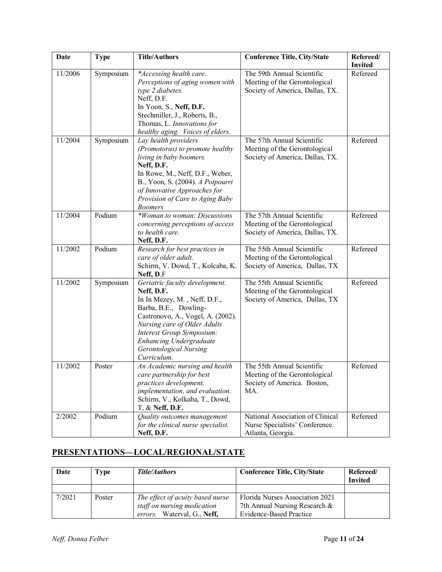| <b>Date</b> | <b>Type</b> | Title/Authors                                                                                                                                                                                                                                                                      | <b>Conference Title, City/State</b>                                                               | Refereed/<br><b>Invited</b> |
|-------------|-------------|------------------------------------------------------------------------------------------------------------------------------------------------------------------------------------------------------------------------------------------------------------------------------------|---------------------------------------------------------------------------------------------------|-----------------------------|
| 11/2006     | Symposium   | *Accessing health care.<br>Perceptions of aging women with<br>type 2 diabetes.<br>Neff, D.F.<br>In Yoon. S., Neff, D.F.<br>Stechmiller, J., Roberts, B.,<br>Thomas, L. Innovations for<br>healthy aging. Voices of elders.                                                         | The 59th Annual Scientific<br>Meeting of the Gerontological<br>Society of America, Dallas, TX.    | Refereed                    |
| 11/2004     | Symposium   | Lay health providers<br>(Promotoras) to promote healthy<br>living in baby boomers.<br>Neff, D.F.<br>In Rowe, M., Neff, D.F., Weber,<br>B., Yoon, S. (2004). A Potpourri<br>of Innovative Approaches for<br>Provision of Care to Aging Baby<br><b>Boomers</b>                       | The 57th Annual Scientific<br>Meeting of the Gerontological<br>Society of America, Dallas, TX.    | Refereed                    |
| 11/2004     | Podium      | *Woman to woman: Discussions<br>concerning perceptions of access<br>to health care.<br>Neff, D.F.                                                                                                                                                                                  | The 57th Annual Scientific<br>Meeting of the Gerontological<br>Society of America, Dallas, TX.    | Refereed                    |
| 11/2002     | Podium      | Research for best practices in<br>care of older adult.<br>Schirm, V. Dowd, T., Kolcaba, K.<br>Neff, D.F                                                                                                                                                                            | The 55th Annual Scientific<br>Meeting of the Gerontological<br>Society of America, Dallas, TX     | Refereed                    |
| 11/2002     | Symposium   | Geriatric faculty development.<br>Neff, D.F.<br>In In Mezey, M., Neff, D.F.,<br>Barba, B.E., Dowling-<br>Castronovo, A., Vogel, A. (2002).<br>Nursing care of Older Adults<br>Interest Group Symposium:<br>Enhancing Undergraduate<br><b>Gerontological Nursing</b><br>Curriculum. | The 55th Annual Scientific<br>Meeting of the Gerontological<br>Society of America, Dallas, TX     | Refereed                    |
| 11/2002     | Poster      | An Academic nursing and health<br>care partnership for best<br>practices development,<br>implementation, and evaluation.<br>Schirm, V., Kolkaba, T., Dowd,<br>$T, \&$ Neff, D.F.                                                                                                   | The 55th Annual Scientific<br>Meeting of the Gerontological<br>Society of America. Boston,<br>MA. | Refereed                    |
| 2/2002      | Podium      | Quality outcomes management<br>for the clinical nurse specialist.<br>Neff, D.F.                                                                                                                                                                                                    | National Association of Clinical<br>Nurse Specialists' Conference.<br>Atlanta, Georgia.           | Refereed                    |

# **PRESENTATIONS—LOCAL/REGIONAL/STATE**

| Date   | Evpe   | Title/Authors                                                                                  | <b>Conference Title, City/State</b>                                                         | Refereed/<br><b>Invited</b> |
|--------|--------|------------------------------------------------------------------------------------------------|---------------------------------------------------------------------------------------------|-----------------------------|
|        |        |                                                                                                |                                                                                             |                             |
| 7/2021 | Poster | The effect of acuity based nurse<br>staff on nursing medication<br>errors. Waterval, G., Neff, | Florida Nurses Association 2021<br>7th Annual Nursing Research &<br>Evidence-Based Practice |                             |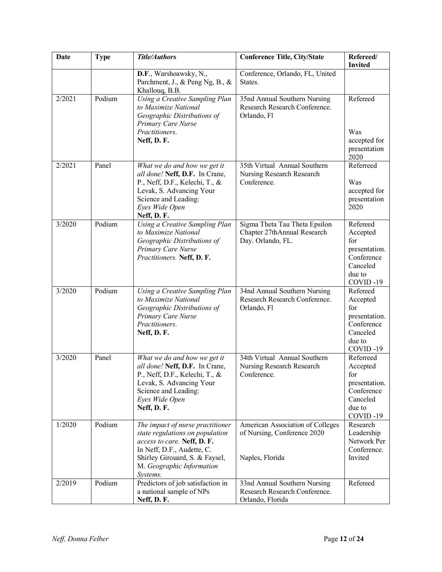| <b>Date</b> | <b>Type</b> | Title/Authors                                                                                                                                                                                               | <b>Conference Title, City/State</b>                                                | Refereed/<br><b>Invited</b>                                                                   |
|-------------|-------------|-------------------------------------------------------------------------------------------------------------------------------------------------------------------------------------------------------------|------------------------------------------------------------------------------------|-----------------------------------------------------------------------------------------------|
|             |             | D.F., Warshoawsky, N.,<br>Parchment, J., & Peng Ng, B., &<br>Khallouq, B.B.                                                                                                                                 | Conference, Orlando, FL, United<br>States.                                         |                                                                                               |
| 2/2021      | Podium      | Using a Creative Sampling Plan<br>to Maximize National<br>Geographic Distributions of<br>Primary Care Nurse<br>Practitioners.<br>Neff, D. F.                                                                | 35nd Annual Southern Nursing<br>Research Research Conference.<br>Orlando, Fl       | Refereed<br>Was<br>accepted for<br>presentation                                               |
| 2/2021      | Panel       | What we do and how we get it<br>all done! Neff, D.F. In Crane,<br>P., Neff, D.F., Kelechi, T., &<br>Levak, S. Advancing Your<br>Science and Leading:<br>Eyes Wide Open<br>Neff, D. F.                       | 35th Virtual Annual Southern<br>Nursing Research Research<br>Conference.           | 2020<br>Referreed<br>Was<br>accepted for<br>presentation<br>2020                              |
| 3/2020      | Podium      | Using a Creative Sampling Plan<br>to Maximize National<br>Geographic Distributions of<br>Primary Care Nurse<br>Practitioners. Neff, D. F.                                                                   | Sigma Theta Tau Theta Epsilon<br>Chapter 27thAnnual Research<br>Day. Orlando, FL.  | Refereed<br>Accepted<br>for<br>presentation.<br>Conference<br>Canceled<br>due to<br>COVID-19  |
| 3/2020      | Podium      | Using a Creative Sampling Plan<br>to Maximize National<br>Geographic Distributions of<br>Primary Care Nurse<br>Practitioners.<br>Neff, D. F.                                                                | 34nd Annual Southern Nursing<br>Research Research Conference.<br>Orlando, Fl       | Refereed<br>Accepted<br>for<br>presentation.<br>Conference<br>Canceled<br>due to<br>COVID-19  |
| 3/2020      | Panel       | What we do and how we get it<br>all done! Neff, D.F. In Crane,<br>P., Neff, D.F., Kelechi, T., &<br>Levak, S. Advancing Your<br>Science and Leading:<br>Eyes Wide Open<br>Neff, D.F.                        | 34th Virtual Annual Southern<br>Nursing Research Research<br>Conference.           | Referreed<br>Accepted<br>for<br>presentation.<br>Conference<br>Canceled<br>due to<br>COVID-19 |
| 1/2020      | Podium      | The impact of nurse practitioner<br>state regulations on population<br>access to care. Neff, D. F.<br>In Neff, D.F., Audette, C.<br>Shirley Girouard, S. & Faysel,<br>M. Geographic Information<br>Systems. | American Association of Colleges<br>of Nursing, Conference 2020<br>Naples, Florida | Research<br>Leadership<br>Network Per<br>Conference.<br>Invited                               |
| 2/2019      | Podium      | Predictors of job satisfaction in<br>a national sample of NPs<br>Neff, D. F.                                                                                                                                | 33nd Annual Southern Nursing<br>Research Research Conference.<br>Orlando, Florida  | Refereed                                                                                      |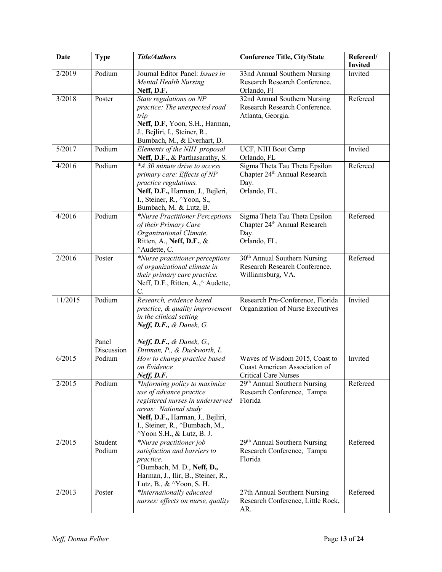| <b>Date</b> | <b>Type</b>          | <b>Title/Authors</b>                                                                                                                                                                                                            | <b>Conference Title, City/State</b>                                                            | Refereed/<br><b>Invited</b> |
|-------------|----------------------|---------------------------------------------------------------------------------------------------------------------------------------------------------------------------------------------------------------------------------|------------------------------------------------------------------------------------------------|-----------------------------|
| 2/2019      | Podium               | Journal Editor Panel: Issues in<br>Mental Health Nursing<br>Neff, D.F.                                                                                                                                                          | 33nd Annual Southern Nursing<br>Research Research Conference.<br>Orlando, Fl                   | Invited                     |
| 3/2018      | Poster               | State regulations on NP<br>practice: The unexpected road<br>trip<br>Neff, D.F, Yoon, S.H., Harman,<br>J., Bejliri, I., Steiner, R.,<br>Bumbach, M., & Everhart, D.                                                              | 32nd Annual Southern Nursing<br>Research Research Conference.<br>Atlanta, Georgia.             | Refereed                    |
| 5/2017      | Podium               | Elements of the NIH proposal<br>Neff, D.F., & Parthasarathy, S.                                                                                                                                                                 | UCF, NIH Boot Camp<br>Orlando, FL                                                              | Invited                     |
| 4/2016      | Podium               | *A 30 minute drive to access<br>primary care: Effects of NP<br>practice regulations.<br>Neff, D.F., Harman, J., Bejleri,<br>I., Steiner, R., <sup>^</sup> Yoon, S.,<br>Bumbach, M. & Lutz, B.                                   | Sigma Theta Tau Theta Epsilon<br>Chapter 24th Annual Research<br>Day.<br>Orlando, FL.          | Refereed                    |
| 4/2016      | Podium               | *Nurse Practitioner Perceptions<br>of their Primary Care<br>Organizational Climate.<br>Ritten, A., Neff, D.F., &<br>^Audette, C.                                                                                                | Sigma Theta Tau Theta Epsilon<br>Chapter 24th Annual Research<br>Day.<br>Orlando, FL.          | Refereed                    |
| 2/2016      | Poster               | *Nurse practitioner perceptions<br>of organizational climate in<br>their primary care practice.<br>Neff, D.F., Ritten, A.,^ Audette,<br>C.                                                                                      | 30 <sup>th</sup> Annual Southern Nursing<br>Research Research Conference.<br>Williamsburg, VA. | Refereed                    |
| 11/2015     | Podium<br>Panel      | Research, evidence based<br>practice, & quality improvement<br>in the clinical setting<br>Neff, D.F., & Danek, G.<br>Neff, D.F., & Danek, G.,                                                                                   | Research Pre-Conference, Florida<br>Organization of Nurse Executives                           | Invited                     |
| 6/2015      | Discussion<br>Podium | Dittman, P., & Duckworth, L.<br>How to change practice based<br>on Evidence<br>Neff, D.F.                                                                                                                                       | Waves of Wisdom 2015, Coast to<br>Coast American Association of<br><b>Critical Care Nurses</b> | Invited                     |
| 2/2015      | Podium               | *Informing policy to maximize<br>use of advance practice<br>registered nurses in underserved<br>areas: National study<br>Neff, D.F., Harman, J., Bejliri,<br>I., Steiner, R., ^Bumbach, M.,<br>$\gamma$ Yoon S.H., & Lutz, B.J. | 29 <sup>th</sup> Annual Southern Nursing<br>Research Conference, Tampa<br>Florida              | Refereed                    |
| 2/2015      | Student<br>Podium    | *Nurse practitioner job<br>satisfaction and barriers to<br>practice.<br>^Bumbach, M. D., Neff, D.,<br>Harman, J., Ilir, B., Steiner, R.,<br>Lutz, B., & $\land$ Yoon, S. H.                                                     | 29 <sup>th</sup> Annual Southern Nursing<br>Research Conference, Tampa<br>Florida              | Refereed                    |
| 2/2013      | Poster               | *Internationally educated<br>nurses: effects on nurse, quality                                                                                                                                                                  | 27th Annual Southern Nursing<br>Research Conference, Little Rock,<br>AR.                       | Refereed                    |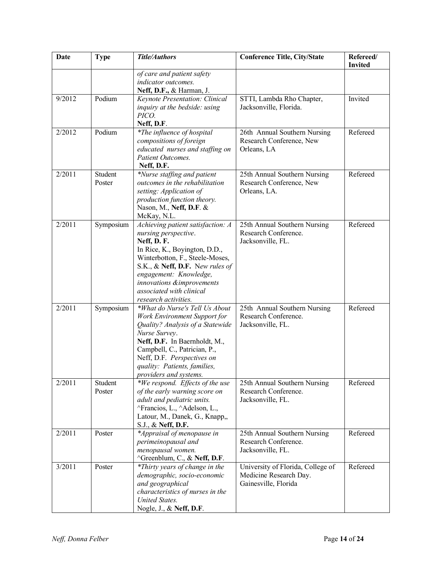| <b>Date</b>         | <b>Type</b>       | <b>Title/Authors</b>                                                                                                                                                                                                                                                                      | <b>Conference Title, City/State</b>                                                 | Refereed/<br><b>Invited</b> |
|---------------------|-------------------|-------------------------------------------------------------------------------------------------------------------------------------------------------------------------------------------------------------------------------------------------------------------------------------------|-------------------------------------------------------------------------------------|-----------------------------|
|                     |                   | of care and patient safety<br>indicator outcomes.<br>Neff, D.F., & Harman, J.                                                                                                                                                                                                             |                                                                                     |                             |
| 9/2012              | Podium            | Keynote Presentation: Clinical<br>inquiry at the bedside: using<br>PICO.<br>Neff, D.F.                                                                                                                                                                                                    | STTI, Lambda Rho Chapter,<br>Jacksonville, Florida.                                 | Invited                     |
| 2/2012              | Podium            | <i>*The influence of hospital</i><br>compositions of foreign<br>educated nurses and staffing on<br>Patient Outcomes.<br>Neff, D.F.                                                                                                                                                        | 26th Annual Southern Nursing<br>Research Conference, New<br>Orleans, LA             | Refereed                    |
| 2/2011              | Student<br>Poster | *Nurse staffing and patient<br>outcomes in the rehabilitation<br>setting: Application of<br>production function theory.<br>Nason, M., Neff, D.F. &<br>McKay, N.L.                                                                                                                         | 25th Annual Southern Nursing<br>Research Conference, New<br>Orleans, LA.            | Refereed                    |
| 2/2011              | Symposium         | Achieving patient satisfaction: A<br>nursing perspective.<br>Neff, D.F.<br>In Rice, K., Boyington, D.D.,<br>Winterbotton, F., Steele-Moses,<br>S.K., & Neff, D.F. New rules of<br>engagement: Knowledge,<br>innovations &improvements<br>associated with clinical<br>research activities. | 25th Annual Southern Nursing<br>Research Conference.<br>Jacksonville, FL.           | Refereed                    |
| 2/2011              | Symposium         | *What do Nurse's Tell Us About<br>Work Environment Support for<br>Quality? Analysis of a Statewide<br>Nurse Survey.<br>Neff, D.F. In Baernholdt, M.,<br>Campbell, C., Patrician, P.,<br>Neff, D.F. Perspectives on<br>quality: Patients, families,<br>providers and systems.              | 25th Annual Southern Nursing<br>Research Conference.<br>Jacksonville, FL.           | Refereed                    |
| $\overline{2}/2011$ | Student<br>Poster | *We respond. Effects of the use<br>of the early warning score on<br>adult and pediatric units.<br>^Francios, L., ^Adelson, L.,<br>Latour, M., Danek, G., Knapp,,<br>S.J., & Neff, D.F.                                                                                                    | 25th Annual Southern Nursing<br>Research Conference.<br>Jacksonville, FL.           | Refereed                    |
| 2/2011              | Poster            | *Appraisal of menopause in<br>perimeinopausal and<br>menopausal women.<br><sup>^</sup> Greenblum, C., & Neff, D.F.                                                                                                                                                                        | 25th Annual Southern Nursing<br>Research Conference.<br>Jacksonville, FL.           | Refereed                    |
| 3/2011              | Poster            | *Thirty years of change in the<br>demographic, socio-economic<br>and geographical<br>characteristics of nurses in the<br><b>United States.</b><br>Nogle, J., & Neff, D.F.                                                                                                                 | University of Florida, College of<br>Medicine Research Day.<br>Gainesville, Florida | Refereed                    |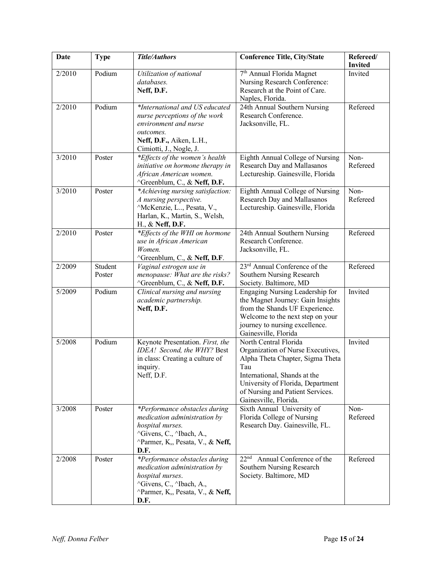| <b>Date</b> | <b>Type</b>       | <b>Title/Authors</b>                                                                                                                                                  | <b>Conference Title, City/State</b>                                                                                                                                                                                                     | Refereed/<br><b>Invited</b> |
|-------------|-------------------|-----------------------------------------------------------------------------------------------------------------------------------------------------------------------|-----------------------------------------------------------------------------------------------------------------------------------------------------------------------------------------------------------------------------------------|-----------------------------|
| 2/2010      | Podium            | Utilization of national<br>databases.<br>Neff, D.F.                                                                                                                   | 7 <sup>th</sup> Annual Florida Magnet<br>Nursing Research Conference:<br>Research at the Point of Care.<br>Naples, Florida.                                                                                                             | Invited                     |
| 2/2010      | Podium            | *International and US educated<br>nurse perceptions of the work<br>environment and nurse<br>outcomes.<br>Neff, D.F., Aiken, L.H.,<br>Cimiotti, J., Nogle, J.          | 24th Annual Southern Nursing<br>Research Conference.<br>Jacksonville, FL.                                                                                                                                                               | Refereed                    |
| 3/2010      | Poster            | *Effects of the women's health<br>initiative on hormone therapy in<br>African American women.<br>^Greenblum, C., & Neff, D.F.                                         | Eighth Annual College of Nursing<br>Research Day and Mallasanos<br>Lectureship. Gainesville, Florida                                                                                                                                    | Non-<br>Refereed            |
| 3/2010      | Poster            | *Achieving nursing satisfaction:<br>A nursing perspective.<br>^McKenzie, L, Pesata, V.,<br>Harlan, K., Martin, S., Welsh,<br>H., & Neff, D.F.                         | Eighth Annual College of Nursing<br>Research Day and Mallasanos<br>Lectureship. Gainesville, Florida                                                                                                                                    | Non-<br>Refereed            |
| 2/2010      | Poster            | *Effects of the WHI on hormone<br>use in African American<br>Women.<br>^Greenblum, C., & Neff, D.F.                                                                   | 24th Annual Southern Nursing<br>Research Conference.<br>Jacksonville, FL.                                                                                                                                                               | Refereed                    |
| 2/2009      | Student<br>Poster | Vaginal estrogen use in<br>menopause: What are the risks?<br><sup>^</sup> Greenblum, C., & Neff, D.F.                                                                 | 23 <sup>rd</sup> Annual Conference of the<br>Southern Nursing Research<br>Society. Baltimore, MD                                                                                                                                        | Refereed                    |
| 5/2009      | Podium            | Clinical nursing and nursing<br>academic partnership.<br>Neff, D.F.                                                                                                   | Engaging Nursing Leadership for<br>the Magnet Journey: Gain Insights<br>from the Shands UF Experience.<br>Welcome to the next step on your<br>journey to nursing excellence.<br>Gainesville, Florida                                    | Invited                     |
| 5/2008      | Podium            | Keynote Presentation. First, the<br>IDEA! Second, the WHY? Best<br>in class: Creating a culture of<br>inquiry.<br>Neff, D.F.                                          | North Central Florida<br>Organization of Nurse Executives,<br>Alpha Theta Chapter, Sigma Theta<br>Tau<br>International, Shands at the<br>University of Florida, Department<br>of Nursing and Patient Services.<br>Gainesville, Florida. | Invited                     |
| 3/2008      | Poster            | *Performance obstacles during<br>medication administration by<br>hospital nurses.<br>^Givens, C., ^Ibach, A.,<br>^Parmer, K,, Pesata, V., & Neff,<br>D.F.             | Sixth Annual University of<br>Florida College of Nursing<br>Research Day. Gainesville, FL.                                                                                                                                              | Non-<br>Refereed            |
| 2/2008      | Poster            | *Performance obstacles during<br>medication administration by<br>hospital nurses.<br>^Givens, C., ^Ibach, A.,<br><sup>^</sup> Parmer, K,, Pesata, V., & Neff,<br>D.F. | 22 <sup>nd</sup><br>Annual Conference of the<br>Southern Nursing Research<br>Society. Baltimore, MD                                                                                                                                     | Refereed                    |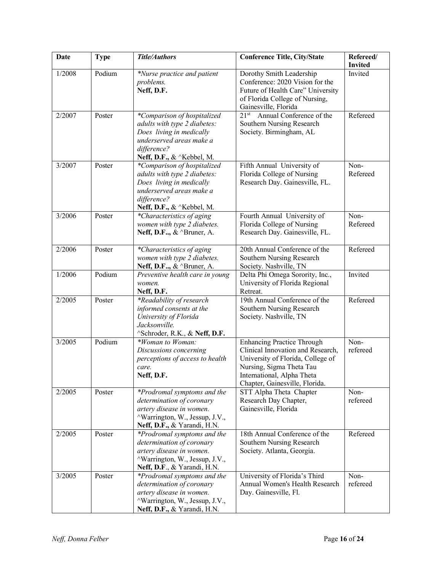| <b>Date</b> | <b>Type</b> | <b>Title/Authors</b>                                                                                                                                            | <b>Conference Title, City/State</b>                                                                                                                                                                     | Refereed/<br><b>Invited</b> |
|-------------|-------------|-----------------------------------------------------------------------------------------------------------------------------------------------------------------|---------------------------------------------------------------------------------------------------------------------------------------------------------------------------------------------------------|-----------------------------|
| 1/2008      | Podium      | *Nurse practice and patient<br>problems.<br>Neff, D.F.                                                                                                          | Dorothy Smith Leadership<br>Conference: 2020 Vision for the<br>Future of Health Care" University<br>of Florida College of Nursing,<br>Gainesville, Florida                                              | Invited                     |
| 2/2007      | Poster      | *Comparison of hospitalized<br>adults with type 2 diabetes:<br>Does living in medically<br>underserved areas make a<br>difference?<br>Neff, D.F., & ^Kebbel, M. | $21^{st}$<br>Annual Conference of the<br>Southern Nursing Research<br>Society. Birmingham, AL                                                                                                           | Refereed                    |
| 3/2007      | Poster      | *Comparison of hospitalized<br>adults with type 2 diabetes:<br>Does living in medically<br>underserved areas make a<br>difference?<br>Neff, D.F., & ^Kebbel, M. | Fifth Annual University of<br>Florida College of Nursing<br>Research Day. Gainesville, FL.                                                                                                              | Non-<br>Refereed            |
| 3/2006      | Poster      | *Characteristics of aging<br>women with type 2 diabetes.<br>Neff, D.F, & ^Bruner, A.                                                                            | Fourth Annual University of<br>Florida College of Nursing<br>Research Day. Gainesville, FL.                                                                                                             | Non-<br>Refereed            |
| 2/2006      | Poster      | *Characteristics of aging<br>women with type 2 diabetes.<br>Neff, D.F., & ^Bruner, A.                                                                           | 20th Annual Conference of the<br>Southern Nursing Research<br>Society. Nashville, TN                                                                                                                    | Refereed                    |
| 1/2006      | Podium      | Preventive health care in young<br>women.<br>Neff, D.F.                                                                                                         | Delta Phi Omega Sorority, Inc.,<br>University of Florida Regional<br>Retreat.                                                                                                                           | Invited                     |
| 2/2005      | Poster      | *Readability of research<br>informed consents at the<br>University of Florida<br>Jacksonville.<br>^Schroder, R.K., & Neff, D.F.                                 | 19th Annual Conference of the<br>Southern Nursing Research<br>Society. Nashville, TN                                                                                                                    | Refereed                    |
| 3/2005      | Podium      | *Woman to Woman:<br>Discussions concerning<br>perceptions of access to health<br>care.<br>Neff, D.F.                                                            | <b>Enhancing Practice Through</b><br>Clinical Innovation and Research,<br>University of Florida, College of<br>Nursing, Sigma Theta Tau<br>International, Alpha Theta<br>Chapter, Gainesville, Florida. | Non-<br>refereed            |
| 2/2005      | Poster      | *Prodromal symptoms and the<br>determination of coronary<br>artery disease in women.<br>^Warrington, W., Jessup, J.V.,<br>Neff, D.F., & Yarandi, H.N.           | STT Alpha Theta Chapter<br>Research Day Chapter,<br>Gainesville, Florida                                                                                                                                | Non-<br>refereed            |
| 2/2005      | Poster      | <i>*Prodromal symptoms and the</i><br>determination of coronary<br>artery disease in women.<br>^Warrington, W., Jessup, J.V.,<br>Neff, D.F., & Yarandi, H.N.    | 18th Annual Conference of the<br>Southern Nursing Research<br>Society. Atlanta, Georgia.                                                                                                                | Refereed                    |
| 3/2005      | Poster      | *Prodromal symptoms and the<br>determination of coronary<br>artery disease in women.<br>^Warrington, W., Jessup, J.V.,<br>Neff, D.F., & Yarandi, H.N.           | University of Florida's Third<br>Annual Women's Health Research<br>Day. Gainesville, Fl.                                                                                                                | Non-<br>refereed            |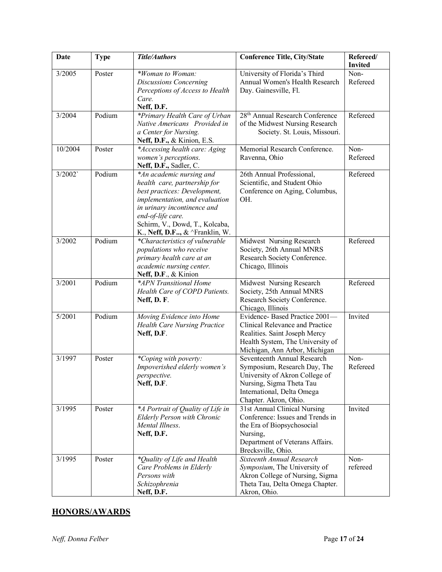| <b>Date</b> | <b>Type</b> | <b>Title/Authors</b>                                                                                                                                                                                                                               | <b>Conference Title, City/State</b>                                                                                                                                              | Refereed/<br><b>Invited</b> |
|-------------|-------------|----------------------------------------------------------------------------------------------------------------------------------------------------------------------------------------------------------------------------------------------------|----------------------------------------------------------------------------------------------------------------------------------------------------------------------------------|-----------------------------|
| 3/2005      | Poster      | *Woman to Woman:<br><b>Discussions Concerning</b><br>Perceptions of Access to Health<br>Care.<br>Neff, D.F.                                                                                                                                        | University of Florida's Third<br>Annual Women's Health Research<br>Day. Gainesville, Fl.                                                                                         | Non-<br>Refereed            |
| 3/2004      | Podium      | *Primary Health Care of Urban<br>Native Americans Provided in<br>a Center for Nursing.<br>Neff, D.F., & Kinion, E.S.                                                                                                                               | 28 <sup>th</sup> Annual Research Conference<br>of the Midwest Nursing Research<br>Society. St. Louis, Missouri.                                                                  | Refereed                    |
| 10/2004     | Poster      | *Accessing health care: Aging<br>women's perceptions.<br>Neff, D.F., Sadler, C.                                                                                                                                                                    | Memorial Research Conference.<br>Ravenna, Ohio                                                                                                                                   | Non-<br>Refereed            |
| 3/2002      | Podium      | *An academic nursing and<br>health care, partnership for<br>best practices: Development,<br>implementation, and evaluation<br>in urinary incontinence and<br>end-of-life care.<br>Schirm, V., Dowd, T., Kolcaba,<br>K., Neff, D.F, & ^Franklin, W. | 26th Annual Professional,<br>Scientific, and Student Ohio<br>Conference on Aging, Columbus,<br>OH.                                                                               | Refereed                    |
| 3/2002      | Podium      | *Characteristics of vulnerable<br>populations who receive<br>primary health care at an<br>academic nursing center.<br>Neff, D.F., & Kinion                                                                                                         | Midwest Nursing Research<br>Society, 26th Annual MNRS<br>Research Society Conference.<br>Chicago, Illinois                                                                       | Refereed                    |
| 3/2001      | Podium      | *APN Transitional Home<br>Health Care of COPD Patients.<br>Neff, D. F.                                                                                                                                                                             | Midwest Nursing Research<br>Society, 25th Annual MNRS<br>Research Society Conference.<br>Chicago, Illinois                                                                       | Refereed                    |
| 5/2001      | Podium      | Moving Evidence into Home<br><b>Health Care Nursing Practice</b><br>Neff, D.F.                                                                                                                                                                     | Evidence-Based Practice 2001-<br>Clinical Relevance and Practice<br>Realities. Saint Joseph Mercy<br>Health System, The University of<br>Michigan, Ann Arbor, Michigan           | Invited                     |
| 3/1997      | Poster      | *Coping with poverty:<br>Impoverished elderly women's<br>perspective.<br>Neff, D.F.                                                                                                                                                                | Seventeenth Annual Research<br>Symposium, Research Day, The<br>University of Akron College of<br>Nursing, Sigma Theta Tau<br>International, Delta Omega<br>Chapter. Akron, Ohio. | Non-<br>Refereed            |
| 3/1995      | Poster      | *A Portrait of Quality of Life in<br><b>Elderly Person with Chronic</b><br>Mental Illness.<br>Neff, D.F.                                                                                                                                           | 31st Annual Clinical Nursing<br>Conference: Issues and Trends in<br>the Era of Biopsychosocial<br>Nursing,<br>Department of Veterans Affairs.<br>Brecksville, Ohio.              | Invited                     |
| 3/1995      | Poster      | *Quality of Life and Health<br>Care Problems in Elderly<br>Persons with<br>Schizophrenia<br>Neff, D.F.                                                                                                                                             | Sixteenth Annual Research<br>Symposium, The University of<br>Akron College of Nursing, Sigma<br>Theta Tau, Delta Omega Chapter.<br>Akron, Ohio.                                  | Non-<br>refereed            |

## **HONORS/AWARDS**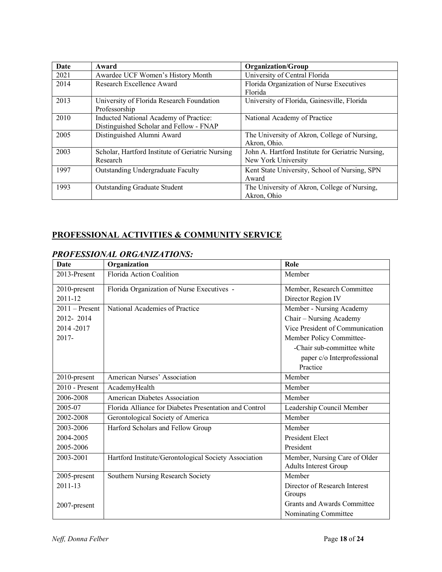| Date | Award                                                                             | <b>Organization/Group</b>                                                |
|------|-----------------------------------------------------------------------------------|--------------------------------------------------------------------------|
| 2021 | Awardee UCF Women's History Month                                                 | University of Central Florida                                            |
| 2014 | Research Excellence Award                                                         | Florida Organization of Nurse Executives<br>Florida                      |
| 2013 | University of Florida Research Foundation<br>Professorship                        | University of Florida, Gainesville, Florida                              |
| 2010 | Inducted National Academy of Practice:<br>Distinguished Scholar and Fellow - FNAP | National Academy of Practice                                             |
| 2005 | Distinguished Alumni Award                                                        | The University of Akron, College of Nursing,<br>Akron, Ohio.             |
| 2003 | Scholar, Hartford Institute of Geriatric Nursing<br>Research                      | John A. Hartford Institute for Geriatric Nursing,<br>New York University |
| 1997 | Outstanding Undergraduate Faculty                                                 | Kent State University, School of Nursing, SPN<br>Award                   |
| 1993 | <b>Outstanding Graduate Student</b>                                               | The University of Akron, College of Nursing,<br>Akron, Ohio              |

# **PROFESSIONAL ACTIVITIES & COMMUNITY SERVICE**

| Date             | Organization                                           | Role                            |
|------------------|--------------------------------------------------------|---------------------------------|
| 2013-Present     | Florida Action Coalition                               | Member                          |
| 2010-present     | Florida Organization of Nurse Executives -             | Member, Research Committee      |
| 2011-12          |                                                        | Director Region IV              |
| $2011$ – Present | National Academies of Practice                         | Member - Nursing Academy        |
| 2012-2014        |                                                        | Chair - Nursing Academy         |
| 2014 - 2017      |                                                        | Vice President of Communication |
| 2017-            |                                                        | Member Policy Committee-        |
|                  |                                                        | -Chair sub-committee white      |
|                  |                                                        | paper c/o Interprofessional     |
|                  |                                                        | Practice                        |
| 2010-present     | American Nurses' Association                           | Member                          |
| $2010$ - Present | AcademyHealth                                          | Member                          |
| 2006-2008        | American Diabetes Association                          | Member                          |
| 2005-07          | Florida Alliance for Diabetes Presentation and Control | Leadership Council Member       |
| 2002-2008        | Gerontological Society of America                      | Member                          |
| 2003-2006        | Harford Scholars and Fellow Group                      | Member                          |
| 2004-2005        |                                                        | President Elect                 |
| 2005-2006        |                                                        | President                       |
| 2003-2001        | Hartford Institute/Gerontological Society Association  | Member, Nursing Care of Older   |
|                  |                                                        | <b>Adults Interest Group</b>    |
| 2005-present     | Southern Nursing Research Society                      | Member                          |
| 2011-13          |                                                        | Director of Research Interest   |
|                  |                                                        | Groups                          |
| 2007-present     |                                                        | Grants and Awards Committee     |
|                  |                                                        | Nominating Committee            |

## *PROFESSIONAL ORGANIZATIONS:*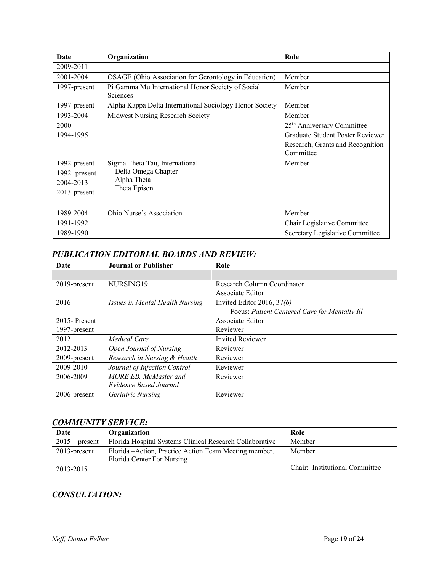| Date                                                                                        | Organization                                                                                                             | Role                                                                                                                                            |
|---------------------------------------------------------------------------------------------|--------------------------------------------------------------------------------------------------------------------------|-------------------------------------------------------------------------------------------------------------------------------------------------|
| 2009-2011                                                                                   |                                                                                                                          |                                                                                                                                                 |
| 2001-2004                                                                                   | OSAGE (Ohio Association for Gerontology in Education)                                                                    | Member                                                                                                                                          |
| 1997-present                                                                                | Pi Gamma Mu International Honor Society of Social<br><b>Sciences</b>                                                     | Member                                                                                                                                          |
| 1997-present                                                                                | Alpha Kappa Delta International Sociology Honor Society                                                                  | Member                                                                                                                                          |
| 1993-2004<br>2000<br>1994-1995<br>1992-present<br>1992-present<br>2004-2013<br>2013-present | Midwest Nursing Research Society<br>Sigma Theta Tau, International<br>Delta Omega Chapter<br>Alpha Theta<br>Theta Epison | Member<br>25 <sup>th</sup> Anniversary Committee<br>Graduate Student Poster Reviewer<br>Research, Grants and Recognition<br>Committee<br>Member |
| 1989-2004<br>1991-1992<br>1989-1990                                                         | Ohio Nurse's Association                                                                                                 | Member<br>Chair Legislative Committee<br>Secretary Legislative Committee                                                                        |

### *PUBLICATION EDITORIAL BOARDS AND REVIEW:*

| Date         | <b>Journal or Publisher</b>     | Role                                          |
|--------------|---------------------------------|-----------------------------------------------|
|              |                                 |                                               |
| 2019-present | NURSING19                       | Research Column Coordinator                   |
|              |                                 | Associate Editor                              |
| 2016         | Issues in Mental Health Nursing | Invited Editor 2016, $37(6)$                  |
|              |                                 | Focus: Patient Centered Care for Mentally Ill |
| 2015-Present |                                 | Associate Editor                              |
| 1997-present |                                 | Reviewer                                      |
| 2012         | Medical Care                    | <b>Invited Reviewer</b>                       |
| 2012-2013    | Open Journal of Nursing         | Reviewer                                      |
| 2009-present | Research in Nursing & Health    | Reviewer                                      |
| 2009-2010    | Journal of Infection Control    | Reviewer                                      |
| 2006-2009    | MORE EB, McMaster and           | Reviewer                                      |
|              | Evidence Based Journal          |                                               |
| 2006-present | Geriatric Nursing               | Reviewer                                      |

## *COMMUNITY SERVICE:*

| Date             | Organization                                                                         | Role                           |
|------------------|--------------------------------------------------------------------------------------|--------------------------------|
| $2015$ – present | Florida Hospital Systems Clinical Research Collaborative                             | Member                         |
| $2013$ -present  | Florida – Action, Practice Action Team Meeting member.<br>Florida Center For Nursing | Member                         |
| 2013-2015        |                                                                                      | Chair: Institutional Committee |

# *CONSULTATION:*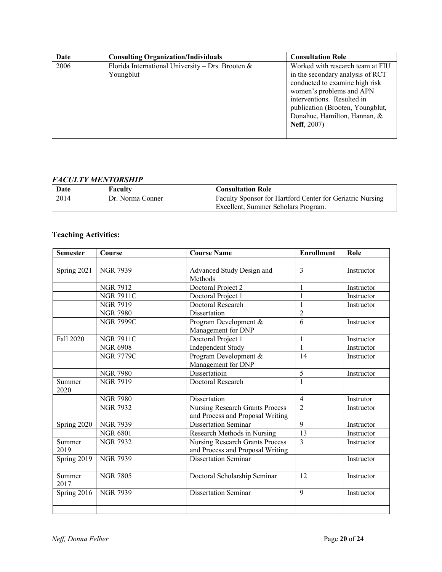| Date | <b>Consulting Organization/Individuals</b>        | <b>Consultation Role</b>         |
|------|---------------------------------------------------|----------------------------------|
| 2006 | Florida International University - Drs. Brooten & | Worked with research team at FIU |
|      | Youngblut                                         | in the secondary analysis of RCT |
|      |                                                   | conducted to examine high risk   |
|      |                                                   | women's problems and APN         |
|      |                                                   | interventions. Resulted in       |
|      |                                                   | publication (Brooten, Youngblut, |
|      |                                                   | Donahue, Hamilton, Hannan, &     |
|      |                                                   | <b>Neff</b> , 2007)              |
|      |                                                   |                                  |

## *FACULTY MENTORSHIP*

| Date | <b>Faculty</b>   | <b>Consultation Role</b>                                                                         |
|------|------------------|--------------------------------------------------------------------------------------------------|
| 2014 | Dr. Norma Conner | Faculty Sponsor for Hartford Center for Geriatric Nursing<br>Excellent, Summer Scholars Program. |

# **Teaching Activities:**

| <b>Semester</b> | Course           | <b>Course Name</b>                     | <b>Enrollment</b> | Role       |
|-----------------|------------------|----------------------------------------|-------------------|------------|
|                 |                  |                                        |                   |            |
| Spring 2021     | <b>NGR 7939</b>  | Advanced Study Design and              | 3                 | Instructor |
|                 |                  | Methods                                |                   |            |
|                 | <b>NGR 7912</b>  | Doctoral Project 2                     |                   | Instructor |
|                 | <b>NGR 7911C</b> | Doctoral Project 1                     | 1                 | Instructor |
|                 | <b>NGR 7919</b>  | Doctoral Research                      |                   | Instructor |
|                 | <b>NGR 7980</b>  | Dissertation                           | $\overline{2}$    |            |
|                 | <b>NGR 7999C</b> | Program Development &                  | 6                 | Instructor |
|                 |                  | Management for DNP                     |                   |            |
| Fall 2020       | <b>NGR 7911C</b> | Doctoral Project 1                     | 1                 | Instructor |
|                 | <b>NGR 6908</b>  | <b>Independent Study</b>               | 1                 | Instructor |
|                 | <b>NGR 7779C</b> | Program Development &                  | 14                | Instructor |
|                 |                  | Management for DNP                     |                   |            |
|                 | <b>NGR 7980</b>  | Dissertatioin                          | 5                 | Instructor |
| Summer          | <b>NGR 7919</b>  | Doctoral Research                      | 1                 |            |
| 2020            |                  |                                        |                   |            |
|                 | <b>NGR 7980</b>  | Dissertation                           | $\overline{4}$    | Instrutor  |
|                 | <b>NGR 7932</b>  | <b>Nursing Research Grants Process</b> | $\overline{2}$    | Instructor |
|                 |                  | and Process and Proposal Writing       |                   |            |
| Spring 2020     | <b>NGR 7939</b>  | <b>Dissertation Seminar</b>            | $\overline{9}$    | Instructor |
|                 | <b>NGR 6801</b>  | Research Methods in Nursing            | 13                | Instructor |
| Summer          | <b>NGR 7932</b>  | <b>Nursing Research Grants Process</b> | 3                 | Instructor |
| 2019            |                  | and Process and Proposal Writing       |                   |            |
| Spring 2019     | <b>NGR 7939</b>  | <b>Dissertation Seminar</b>            |                   | Instructor |
|                 |                  |                                        |                   |            |
| Summer          | <b>NGR 7805</b>  | Doctoral Scholarship Seminar           | 12                | Instructor |
| 2017            |                  |                                        |                   |            |
| Spring 2016     | <b>NGR 7939</b>  | <b>Dissertation Seminar</b>            | 9                 | Instructor |
|                 |                  |                                        |                   |            |
|                 |                  |                                        |                   |            |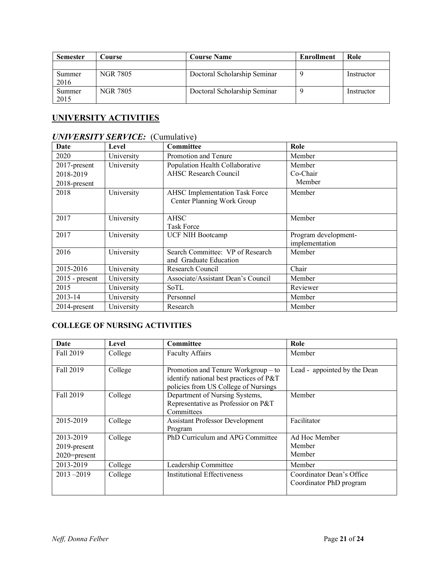| <b>Semester</b> | Course   | <b>Course Name</b>           | Enrollment | Role       |
|-----------------|----------|------------------------------|------------|------------|
|                 |          |                              |            |            |
| Summer<br>2016  | NGR 7805 | Doctoral Scholarship Seminar |            | Instructor |
| Summer<br>2015  | NGR 7805 | Doctoral Scholarship Seminar |            | Instructor |

# **UNIVERSITY ACTIVITIES**

# *UNIVERSITY SERVICE:* (Cumulative)

| Date             | Level      | Committee                                                    | Role                                   |
|------------------|------------|--------------------------------------------------------------|----------------------------------------|
| 2020             | University | Promotion and Tenure                                         | Member                                 |
| 2017-present     | University | Population Health Collaborative                              | Member                                 |
| 2018-2019        |            | <b>AHSC Research Council</b>                                 | Co-Chair                               |
| 2018-present     |            |                                                              | Member                                 |
| 2018             | University | AHSC Implementation Task Force<br>Center Planning Work Group | Member                                 |
| 2017             | University | <b>AHSC</b><br><b>Task Force</b>                             | Member                                 |
| 2017             | University | <b>UCF NIH Bootcamp</b>                                      | Program development-<br>implementation |
| 2016             | University | Search Committee: VP of Research<br>and Graduate Education   | Member                                 |
| 2015-2016        | University | Research Council                                             | Chair                                  |
| $2015$ - present | University | Associate/Assistant Dean's Council                           | Member                                 |
| 2015             | University | <b>SoTL</b>                                                  | Reviewer                               |
| 2013-14          | University | Personnel                                                    | Member                                 |
| 2014-present     | University | Research                                                     | Member                                 |

### **COLLEGE OF NURSING ACTIVITIES**

| Date            | Level   | Committee                                                                                                                | Role                                                 |
|-----------------|---------|--------------------------------------------------------------------------------------------------------------------------|------------------------------------------------------|
| Fall 2019       | College | <b>Faculty Affairs</b>                                                                                                   | Member                                               |
| Fall 2019       | College | Promotion and Tenure Workgroup $-$ to<br>identify national best practices of P&T<br>policies from US College of Nursings | Lead - appointed by the Dean                         |
| Fall 2019       | College | Department of Nursing Systems,<br>Representative as Professior on P&T<br>Committees                                      | Member                                               |
| 2015-2019       | College | <b>Assistant Professor Development</b><br>Program                                                                        | Facilitator                                          |
| 2013-2019       | College | PhD Curriculum and APG Committee                                                                                         | Ad Hoc Member                                        |
| 2019-present    |         |                                                                                                                          | Member                                               |
| $2020$ =present |         |                                                                                                                          | Member                                               |
| 2013-2019       | College | Leadership Committee                                                                                                     | Member                                               |
| $2013 - 2019$   | College | <b>Institutional Effectiveness</b>                                                                                       | Coordinator Dean's Office<br>Coordinator PhD program |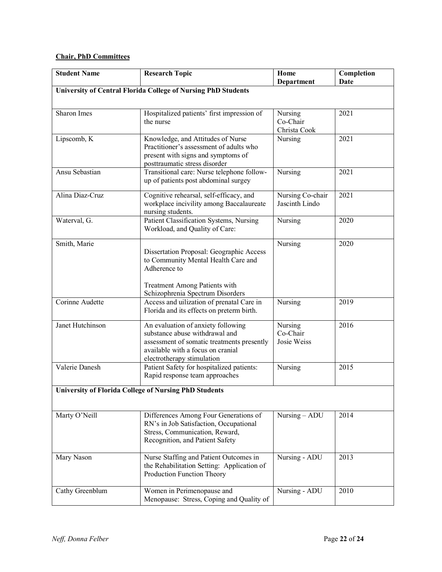### **Chair, PhD Committees**

| <b>Student Name</b>                                                  | <b>Research Topic</b>                                                                                                                                                                 | Home<br><b>Department</b>           | Completion<br><b>Date</b> |  |  |
|----------------------------------------------------------------------|---------------------------------------------------------------------------------------------------------------------------------------------------------------------------------------|-------------------------------------|---------------------------|--|--|
| <b>University of Central Florida College of Nursing PhD Students</b> |                                                                                                                                                                                       |                                     |                           |  |  |
|                                                                      |                                                                                                                                                                                       |                                     |                           |  |  |
| Sharon Imes                                                          | Hospitalized patients' first impression of<br>the nurse                                                                                                                               | Nursing<br>Co-Chair<br>Christa Cook | 2021                      |  |  |
| Lipscomb, K                                                          | Knowledge, and Attitudes of Nurse<br>Practitioner's assessment of adults who<br>present with signs and symptoms of<br>posttraumatic stress disorder                                   | Nursing                             | 2021                      |  |  |
| Ansu Sebastian                                                       | Transitional care: Nurse telephone follow-<br>up of patients post abdominal surgey                                                                                                    | Nursing                             | 2021                      |  |  |
| Alina Diaz-Cruz                                                      | Cognitive rehearsal, self-efficacy, and<br>workplace incivility among Baccalaureate<br>nursing students.                                                                              | Nursing Co-chair<br>Jascinth Lindo  | 2021                      |  |  |
| Waterval, G.                                                         | Patient Classification Systems, Nursing<br>Workload, and Quality of Care:                                                                                                             | Nursing                             | 2020                      |  |  |
| Smith, Marie                                                         | Dissertation Proposal: Geographic Access<br>to Community Mental Health Care and<br>Adherence to                                                                                       | Nursing                             | 2020                      |  |  |
|                                                                      | <b>Treatment Among Patients with</b><br>Schizophrenia Spectrum Disorders                                                                                                              |                                     |                           |  |  |
| Corinne Audette                                                      | Access and uilization of prenatal Care in<br>Florida and its effects on preterm birth.                                                                                                | Nursing                             | 2019                      |  |  |
| Janet Hutchinson                                                     | An evaluation of anxiety following<br>substance abuse withdrawal and<br>assessment of somatic treatments presently<br>available with a focus on cranial<br>electrotherapy stimulation | Nursing<br>Co-Chair<br>Josie Weiss  | 2016                      |  |  |
| Valerie Danesh                                                       | Patient Safety for hospitalized patients:<br>Rapid response team approaches                                                                                                           | Nursing                             | 2015                      |  |  |
|                                                                      | <b>University of Florida College of Nursing PhD Students</b>                                                                                                                          |                                     |                           |  |  |
| Marty O'Neill                                                        | Differences Among Four Generations of<br>RN's in Job Satisfaction, Occupational<br>Stress, Communication, Reward,<br>Recognition, and Patient Safety                                  | Nursing - ADU                       | 2014                      |  |  |
| Mary Nason                                                           | Nurse Staffing and Patient Outcomes in<br>the Rehabilitation Setting: Application of<br>Production Function Theory                                                                    | Nursing - ADU                       | 2013                      |  |  |
| Cathy Greenblum                                                      | Women in Perimenopause and<br>Menopause: Stress, Coping and Quality of                                                                                                                | Nursing - ADU                       | 2010                      |  |  |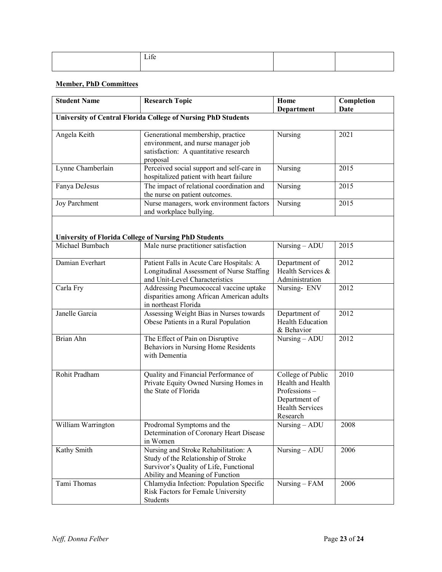### **Member, PhD Committees**

| <b>Student Name</b>                                                  | <b>Research Topic</b>                                                                                                                                    | Home<br><b>Department</b>                                                                                     | Completion<br><b>Date</b> |  |
|----------------------------------------------------------------------|----------------------------------------------------------------------------------------------------------------------------------------------------------|---------------------------------------------------------------------------------------------------------------|---------------------------|--|
| <b>University of Central Florida College of Nursing PhD Students</b> |                                                                                                                                                          |                                                                                                               |                           |  |
| Angela Keith                                                         | Generational membership, practice<br>environment, and nurse manager job<br>satisfaction: A quantitative research<br>proposal                             | Nursing                                                                                                       | 2021                      |  |
| Lynne Chamberlain                                                    | Perceived social support and self-care in<br>hospitalized patient with heart failure                                                                     | Nursing                                                                                                       | 2015                      |  |
| Fanya DeJesus                                                        | The impact of relational coordination and<br>the nurse on patient outcomes.                                                                              | Nursing                                                                                                       | 2015                      |  |
| Joy Parchment                                                        | Nurse managers, work environment factors<br>and workplace bullying.                                                                                      | Nursing                                                                                                       | 2015                      |  |
|                                                                      | <b>University of Florida College of Nursing PhD Students</b>                                                                                             |                                                                                                               |                           |  |
| Michael Bumbach                                                      | Male nurse practitioner satisfaction                                                                                                                     | Nursing - ADU                                                                                                 | 2015                      |  |
| Damian Everhart                                                      | Patient Falls in Acute Care Hospitals: A<br>Longitudinal Assessment of Nurse Staffing<br>and Unit-Level Characteristics                                  | Department of<br>Health Services &<br>Administration                                                          | 2012                      |  |
| Carla Fry                                                            | Addressing Pneumococcal vaccine uptake<br>disparities among African American adults<br>in northeast Florida                                              | Nursing- ENV                                                                                                  | 2012                      |  |
| Janelle Garcia                                                       | Assessing Weight Bias in Nurses towards<br>Obese Patients in a Rural Population                                                                          | Department of<br><b>Health Education</b><br>& Behavior                                                        | 2012                      |  |
| Brian Ahn                                                            | The Effect of Pain on Disruptive<br>Behaviors in Nursing Home Residents<br>with Dementia                                                                 | Nursing - ADU                                                                                                 | 2012                      |  |
| Rohit Pradham                                                        | Quality and Financial Performance of<br>Private Equity Owned Nursing Homes in<br>the State of Florida                                                    | College of Public<br>Health and Health<br>Professions-<br>Department of<br><b>Health Services</b><br>Research | 2010                      |  |
| William Warrington                                                   | Prodromal Symptoms and the<br>Determination of Coronary Heart Disease<br>in Women                                                                        | Nursing - ADU                                                                                                 | 2008                      |  |
| Kathy Smith                                                          | Nursing and Stroke Rehabilitation: A<br>Study of the Relationship of Stroke<br>Survivor's Quality of Life, Functional<br>Ability and Meaning of Function | Nursing - ADU                                                                                                 | 2006                      |  |
| Tami Thomas                                                          | Chlamydia Infection: Population Specific<br>Risk Factors for Female University<br>Students                                                               | Nursing – FAM                                                                                                 | 2006                      |  |